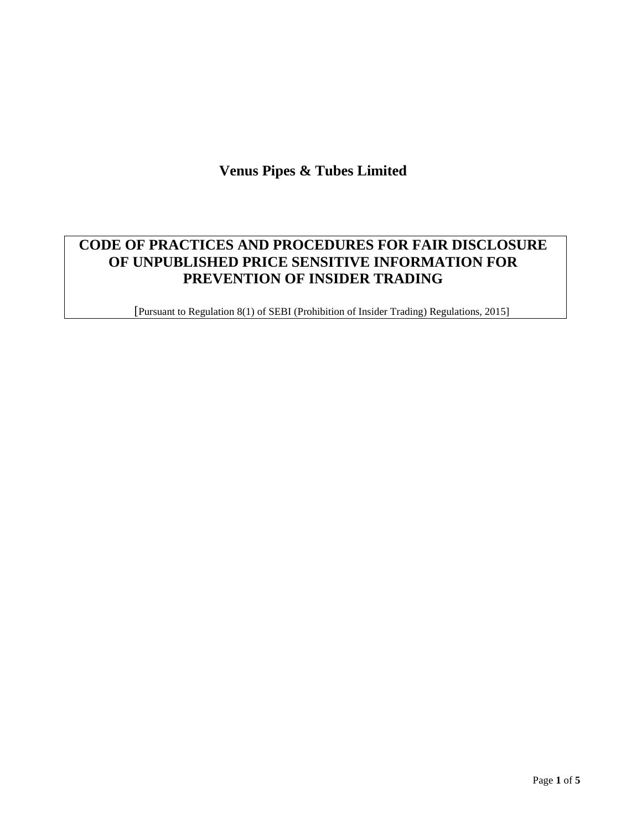# **Venus Pipes & Tubes Limited**

# **CODE OF PRACTICES AND PROCEDURES FOR FAIR DISCLOSURE OF UNPUBLISHED PRICE SENSITIVE INFORMATION FOR PREVENTION OF INSIDER TRADING**

[Pursuant to Regulation 8(1) of SEBI (Prohibition of Insider Trading) Regulations, 2015]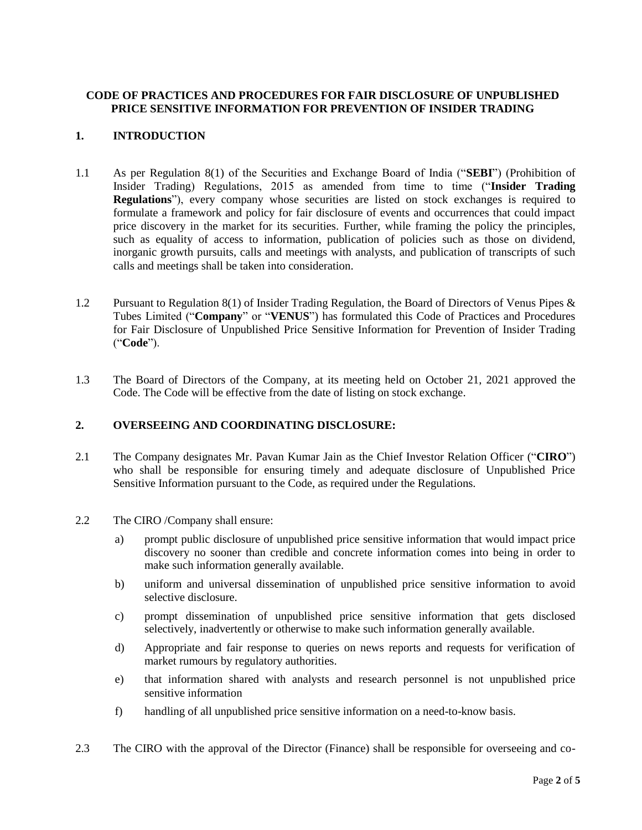## **CODE OF PRACTICES AND PROCEDURES FOR FAIR DISCLOSURE OF UNPUBLISHED PRICE SENSITIVE INFORMATION FOR PREVENTION OF INSIDER TRADING**

## **1. INTRODUCTION**

- 1.1 As per Regulation 8(1) of the Securities and Exchange Board of India ("**SEBI**") (Prohibition of Insider Trading) Regulations, 2015 as amended from time to time ("**Insider Trading Regulations**"), every company whose securities are listed on stock exchanges is required to formulate a framework and policy for fair disclosure of events and occurrences that could impact price discovery in the market for its securities. Further, while framing the policy the principles, such as equality of access to information, publication of policies such as those on dividend, inorganic growth pursuits, calls and meetings with analysts, and publication of transcripts of such calls and meetings shall be taken into consideration.
- 1.2 Pursuant to Regulation 8(1) of Insider Trading Regulation, the Board of Directors of Venus Pipes & Tubes Limited ("**Company**" or "**VENUS**") has formulated this Code of Practices and Procedures for Fair Disclosure of Unpublished Price Sensitive Information for Prevention of Insider Trading ("**Code**").
- 1.3 The Board of Directors of the Company, at its meeting held on October 21, 2021 approved the Code. The Code will be effective from the date of listing on stock exchange.

### **2. OVERSEEING AND COORDINATING DISCLOSURE:**

- 2.1 The Company designates Mr. Pavan Kumar Jain as the Chief Investor Relation Officer ("**CIRO**") who shall be responsible for ensuring timely and adequate disclosure of Unpublished Price Sensitive Information pursuant to the Code, as required under the Regulations.
- 2.2 The CIRO /Company shall ensure:
	- a) prompt public disclosure of unpublished price sensitive information that would impact price discovery no sooner than credible and concrete information comes into being in order to make such information generally available.
	- b) uniform and universal dissemination of unpublished price sensitive information to avoid selective disclosure.
	- c) prompt dissemination of unpublished price sensitive information that gets disclosed selectively, inadvertently or otherwise to make such information generally available.
	- d) Appropriate and fair response to queries on news reports and requests for verification of market rumours by regulatory authorities.
	- e) that information shared with analysts and research personnel is not unpublished price sensitive information
	- f) handling of all unpublished price sensitive information on a need-to-know basis.
- 2.3 The CIRO with the approval of the Director (Finance) shall be responsible for overseeing and co-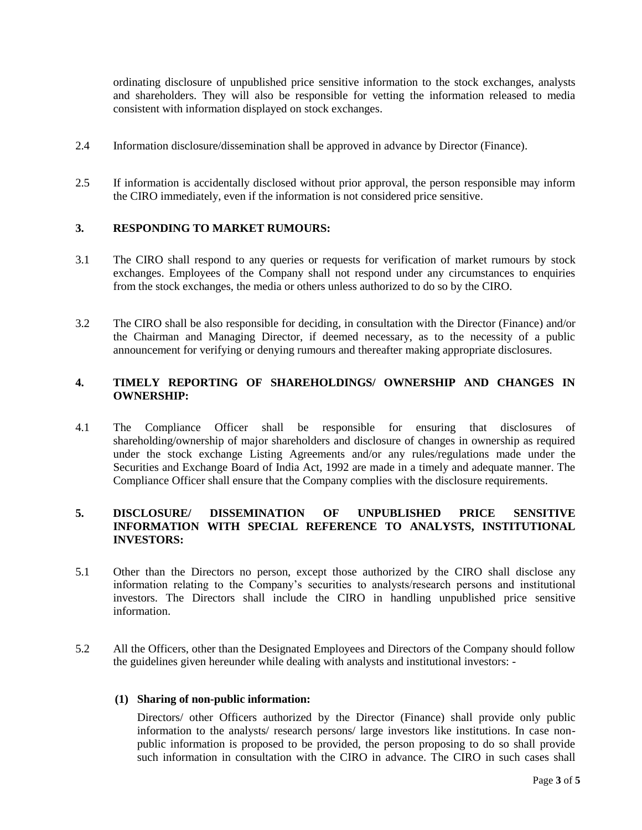ordinating disclosure of unpublished price sensitive information to the stock exchanges, analysts and shareholders. They will also be responsible for vetting the information released to media consistent with information displayed on stock exchanges.

- 2.4 Information disclosure/dissemination shall be approved in advance by Director (Finance).
- 2.5 If information is accidentally disclosed without prior approval, the person responsible may inform the CIRO immediately, even if the information is not considered price sensitive.

#### **3. RESPONDING TO MARKET RUMOURS:**

- 3.1 The CIRO shall respond to any queries or requests for verification of market rumours by stock exchanges. Employees of the Company shall not respond under any circumstances to enquiries from the stock exchanges, the media or others unless authorized to do so by the CIRO.
- 3.2 The CIRO shall be also responsible for deciding, in consultation with the Director (Finance) and/or the Chairman and Managing Director, if deemed necessary, as to the necessity of a public announcement for verifying or denying rumours and thereafter making appropriate disclosures.

### **4. TIMELY REPORTING OF SHAREHOLDINGS/ OWNERSHIP AND CHANGES IN OWNERSHIP:**

4.1 The Compliance Officer shall be responsible for ensuring that disclosures of shareholding/ownership of major shareholders and disclosure of changes in ownership as required under the stock exchange Listing Agreements and/or any rules/regulations made under the Securities and Exchange Board of India Act, 1992 are made in a timely and adequate manner. The Compliance Officer shall ensure that the Company complies with the disclosure requirements.

## **5. DISCLOSURE/ DISSEMINATION OF UNPUBLISHED PRICE SENSITIVE INFORMATION WITH SPECIAL REFERENCE TO ANALYSTS, INSTITUTIONAL INVESTORS:**

- 5.1 Other than the Directors no person, except those authorized by the CIRO shall disclose any information relating to the Company's securities to analysts/research persons and institutional investors. The Directors shall include the CIRO in handling unpublished price sensitive information.
- 5.2 All the Officers, other than the Designated Employees and Directors of the Company should follow the guidelines given hereunder while dealing with analysts and institutional investors: -

#### **(1) Sharing of non-public information:**

Directors/ other Officers authorized by the Director (Finance) shall provide only public information to the analysts/ research persons/ large investors like institutions. In case nonpublic information is proposed to be provided, the person proposing to do so shall provide such information in consultation with the CIRO in advance. The CIRO in such cases shall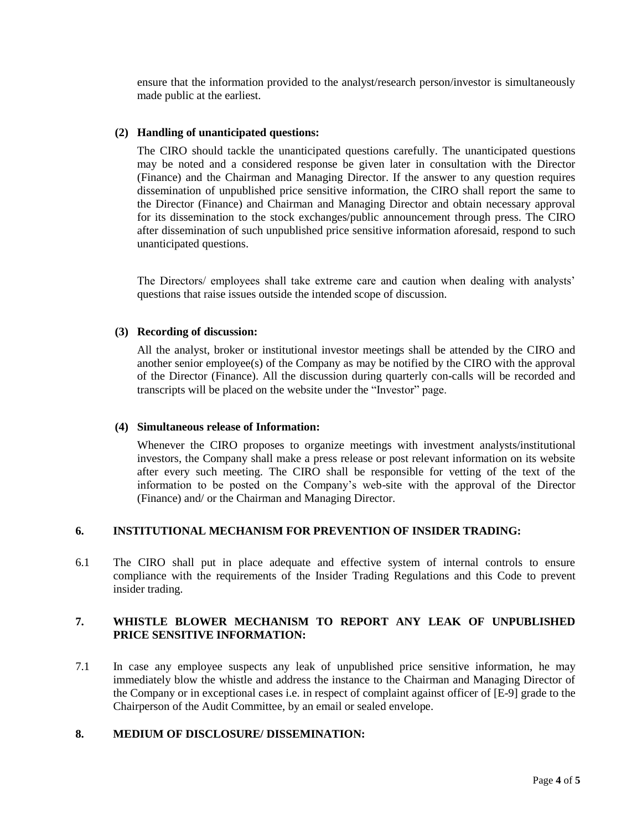ensure that the information provided to the analyst/research person/investor is simultaneously made public at the earliest.

#### **(2) Handling of unanticipated questions:**

The CIRO should tackle the unanticipated questions carefully. The unanticipated questions may be noted and a considered response be given later in consultation with the Director (Finance) and the Chairman and Managing Director. If the answer to any question requires dissemination of unpublished price sensitive information, the CIRO shall report the same to the Director (Finance) and Chairman and Managing Director and obtain necessary approval for its dissemination to the stock exchanges/public announcement through press. The CIRO after dissemination of such unpublished price sensitive information aforesaid, respond to such unanticipated questions.

The Directors/ employees shall take extreme care and caution when dealing with analysts' questions that raise issues outside the intended scope of discussion.

#### **(3) Recording of discussion:**

All the analyst, broker or institutional investor meetings shall be attended by the CIRO and another senior employee(s) of the Company as may be notified by the CIRO with the approval of the Director (Finance). All the discussion during quarterly con-calls will be recorded and transcripts will be placed on the website under the "Investor" page.

#### **(4) Simultaneous release of Information:**

Whenever the CIRO proposes to organize meetings with investment analysts/institutional investors, the Company shall make a press release or post relevant information on its website after every such meeting. The CIRO shall be responsible for vetting of the text of the information to be posted on the Company's web-site with the approval of the Director (Finance) and/ or the Chairman and Managing Director.

### **6. INSTITUTIONAL MECHANISM FOR PREVENTION OF INSIDER TRADING:**

6.1 The CIRO shall put in place adequate and effective system of internal controls to ensure compliance with the requirements of the Insider Trading Regulations and this Code to prevent insider trading.

## **7. WHISTLE BLOWER MECHANISM TO REPORT ANY LEAK OF UNPUBLISHED PRICE SENSITIVE INFORMATION:**

7.1 In case any employee suspects any leak of unpublished price sensitive information, he may immediately blow the whistle and address the instance to the Chairman and Managing Director of the Company or in exceptional cases i.e. in respect of complaint against officer of [E-9] grade to the Chairperson of the Audit Committee, by an email or sealed envelope.

#### **8. MEDIUM OF DISCLOSURE/ DISSEMINATION:**